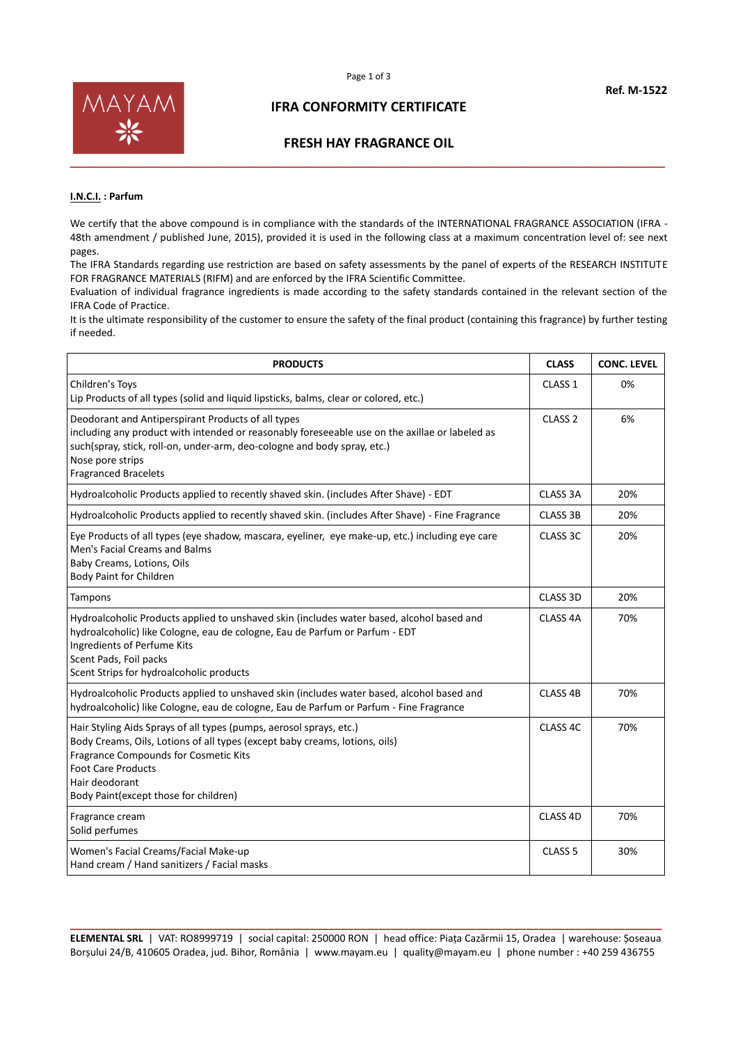

#### **IFRA CONFORMITY CERTIFICATE**

#### **FRESH HAY FRAGRANCE OIL**

#### **I.N.C.I. : Parfum**

We certify that the above compound is in compliance with the standards of the INTERNATIONAL FRAGRANCE ASSOCIATION (IFRA -48th amendment / published June, 2015), provided it is used in the following class at a maximum concentration level of: see next pages.

The IFRA Standards regarding use restriction are based on safety assessments by the panel of experts of the RESEARCH INSTITUTE FOR FRAGRANCE MATERIALS (RIFM) and are enforced by the IFRA Scientific Committee.

Evaluation of individual fragrance ingredients is made according to the safety standards contained in the relevant section of the IFRA Code of Practice.

It is the ultimate responsibility of the customer to ensure the safety of the final product (containing this fragrance) by further testing if needed.

| <b>PRODUCTS</b>                                                                                                                                                                                                                                                                     | <b>CLASS</b>        | <b>CONC. LEVEL</b> |
|-------------------------------------------------------------------------------------------------------------------------------------------------------------------------------------------------------------------------------------------------------------------------------------|---------------------|--------------------|
| Children's Toys<br>Lip Products of all types (solid and liquid lipsticks, balms, clear or colored, etc.)                                                                                                                                                                            | CLASS <sub>1</sub>  | 0%                 |
| Deodorant and Antiperspirant Products of all types<br>including any product with intended or reasonably foreseeable use on the axillae or labeled as<br>such(spray, stick, roll-on, under-arm, deo-cologne and body spray, etc.)<br>Nose pore strips<br><b>Fragranced Bracelets</b> | CLASS <sub>2</sub>  | 6%                 |
| Hydroalcoholic Products applied to recently shaved skin. (includes After Shave) - EDT                                                                                                                                                                                               | CLASS 3A            | 20%                |
| Hydroalcoholic Products applied to recently shaved skin. (includes After Shave) - Fine Fragrance                                                                                                                                                                                    | <b>CLASS 3B</b>     | 20%                |
| Eye Products of all types (eye shadow, mascara, eyeliner, eye make-up, etc.) including eye care<br>Men's Facial Creams and Balms<br>Baby Creams, Lotions, Oils<br><b>Body Paint for Children</b>                                                                                    | CLASS 3C            | 20%                |
| Tampons                                                                                                                                                                                                                                                                             | CLASS 3D            | 20%                |
| Hydroalcoholic Products applied to unshaved skin (includes water based, alcohol based and<br>hydroalcoholic) like Cologne, eau de cologne, Eau de Parfum or Parfum - EDT<br>Ingredients of Perfume Kits<br>Scent Pads, Foil packs<br>Scent Strips for hydroalcoholic products       | CLASS <sub>4A</sub> | 70%                |
| Hydroalcoholic Products applied to unshaved skin (includes water based, alcohol based and<br>hydroalcoholic) like Cologne, eau de cologne, Eau de Parfum or Parfum - Fine Fragrance                                                                                                 | CLASS <sub>4B</sub> | 70%                |
| Hair Styling Aids Sprays of all types (pumps, aerosol sprays, etc.)<br>Body Creams, Oils, Lotions of all types (except baby creams, lotions, oils)<br>Fragrance Compounds for Cosmetic Kits<br><b>Foot Care Products</b><br>Hair deodorant<br>Body Paint(except those for children) | CLASS 4C            | 70%                |
| Fragrance cream<br>Solid perfumes                                                                                                                                                                                                                                                   | CLASS 4D            | 70%                |
| Women's Facial Creams/Facial Make-up<br>Hand cream / Hand sanitizers / Facial masks                                                                                                                                                                                                 | CLASS <sub>5</sub>  | 30%                |

**\_\_\_\_\_\_\_\_\_\_\_\_\_\_\_\_\_\_\_\_\_\_\_\_\_\_\_\_\_\_\_\_\_\_\_\_\_\_\_\_\_\_\_\_\_\_\_\_\_\_\_\_\_\_\_\_\_\_\_\_\_\_\_\_\_\_\_\_\_\_\_\_\_\_\_\_\_\_\_\_\_\_\_\_\_\_\_\_\_\_\_\_\_\_\_\_ ELEMENTAL SRL** | VAT: RO8999719 | social capital: 250000 RON | head office: Piața Cazărmii 15, Oradea | warehouse: Șoseaua Borșului 24/B, 410605 Oradea, jud. Bihor, România | www.mayam.eu | quality@mayam.eu | phone number : +40 259 436755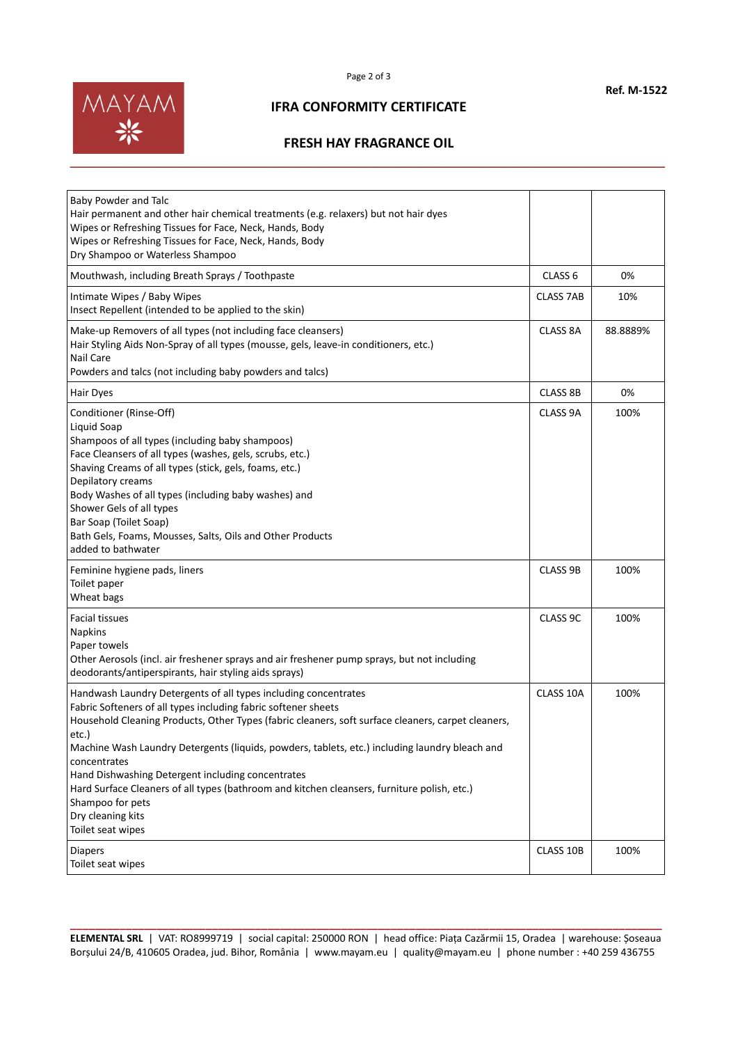

# **IFRA CONFORMITY CERTIFICATE**

## **FRESH HAY FRAGRANCE OIL**

| Baby Powder and Talc<br>Hair permanent and other hair chemical treatments (e.g. relaxers) but not hair dyes<br>Wipes or Refreshing Tissues for Face, Neck, Hands, Body<br>Wipes or Refreshing Tissues for Face, Neck, Hands, Body<br>Dry Shampoo or Waterless Shampoo                                                                                                                                                                                                                                                                                                                |                    |          |
|--------------------------------------------------------------------------------------------------------------------------------------------------------------------------------------------------------------------------------------------------------------------------------------------------------------------------------------------------------------------------------------------------------------------------------------------------------------------------------------------------------------------------------------------------------------------------------------|--------------------|----------|
| Mouthwash, including Breath Sprays / Toothpaste                                                                                                                                                                                                                                                                                                                                                                                                                                                                                                                                      | CLASS <sub>6</sub> | 0%       |
| Intimate Wipes / Baby Wipes<br>Insect Repellent (intended to be applied to the skin)                                                                                                                                                                                                                                                                                                                                                                                                                                                                                                 | <b>CLASS 7AB</b>   | 10%      |
| Make-up Removers of all types (not including face cleansers)<br>Hair Styling Aids Non-Spray of all types (mousse, gels, leave-in conditioners, etc.)<br>Nail Care<br>Powders and talcs (not including baby powders and talcs)                                                                                                                                                                                                                                                                                                                                                        | CLASS 8A           | 88.8889% |
| Hair Dyes                                                                                                                                                                                                                                                                                                                                                                                                                                                                                                                                                                            | CLASS 8B           | 0%       |
| Conditioner (Rinse-Off)<br>Liquid Soap<br>Shampoos of all types (including baby shampoos)<br>Face Cleansers of all types (washes, gels, scrubs, etc.)<br>Shaving Creams of all types (stick, gels, foams, etc.)<br>Depilatory creams<br>Body Washes of all types (including baby washes) and<br>Shower Gels of all types<br>Bar Soap (Toilet Soap)<br>Bath Gels, Foams, Mousses, Salts, Oils and Other Products<br>added to bathwater                                                                                                                                                | CLASS 9A           | 100%     |
| Feminine hygiene pads, liners<br>Toilet paper<br>Wheat bags                                                                                                                                                                                                                                                                                                                                                                                                                                                                                                                          | CLASS 9B           | 100%     |
| <b>Facial tissues</b><br><b>Napkins</b><br>Paper towels<br>Other Aerosols (incl. air freshener sprays and air freshener pump sprays, but not including<br>deodorants/antiperspirants, hair styling aids sprays)                                                                                                                                                                                                                                                                                                                                                                      | CLASS 9C           | 100%     |
| Handwash Laundry Detergents of all types including concentrates<br>Fabric Softeners of all types including fabric softener sheets<br>Household Cleaning Products, Other Types (fabric cleaners, soft surface cleaners, carpet cleaners,<br>etc.)<br>Machine Wash Laundry Detergents (liquids, powders, tablets, etc.) including laundry bleach and<br>concentrates<br>Hand Dishwashing Detergent including concentrates<br>Hard Surface Cleaners of all types (bathroom and kitchen cleansers, furniture polish, etc.)<br>Shampoo for pets<br>Dry cleaning kits<br>Toilet seat wipes | CLASS 10A          | 100%     |
| <b>Diapers</b><br>Toilet seat wipes                                                                                                                                                                                                                                                                                                                                                                                                                                                                                                                                                  | CLASS 10B          | 100%     |

**\_\_\_\_\_\_\_\_\_\_\_\_\_\_\_\_\_\_\_\_\_\_\_\_\_\_\_\_\_\_\_\_\_\_\_\_\_\_\_\_\_\_\_\_\_\_\_\_\_\_\_\_\_\_\_\_\_\_\_\_\_\_\_\_\_\_\_\_\_\_\_\_\_\_\_\_\_\_\_\_\_\_\_\_\_\_\_\_\_\_\_\_\_\_\_\_ ELEMENTAL SRL** | VAT: RO8999719 | social capital: 250000 RON | head office: Piața Cazărmii 15, Oradea | warehouse: Șoseaua Borșului 24/B, 410605 Oradea, jud. Bihor, România | www.mayam.eu | quality@mayam.eu | phone number : +40 259 436755